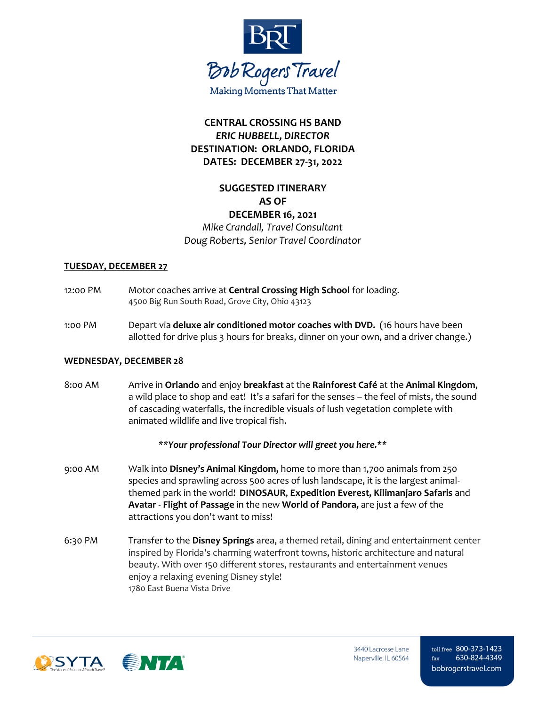

# **CENTRAL CROSSING HS BAND** *ERIC HUBBELL, DIRECTOR* **DESTINATION: ORLANDO, FLORIDA DATES: DECEMBER 27-31, 2022**

## **SUGGESTED ITINERARY AS OF DECEMBER 16, 2021**

*Mike Crandall, Travel Consultant Doug Roberts, Senior Travel Coordinator*

#### **TUESDAY, DECEMBER 27**

- 12:00 PM Motor coaches arrive at **Central Crossing High School** for loading. 4500 Big Run South Road, Grove City, Ohio 43123
- 1:00 PM Depart via **deluxe air conditioned motor coaches with DVD.** (16 hours have been allotted for drive plus 3 hours for breaks, dinner on your own, and a driver change.)

## **WEDNESDAY, DECEMBER 28**

8:00 AM Arrive in **Orlando** and enjoy **breakfast** at the **Rainforest Café** at the **Animal Kingdom**, a wild place to shop and eat! It's a safari for the senses – the feel of mists, the sound of cascading waterfalls, the incredible visuals of lush vegetation complete with animated wildlife and live tropical fish.

## *\*\*Your professional Tour Director will greet you here.\*\**

- 9:00 AM Walk into **Disney's Animal Kingdom,** home to more than 1,700 animals from 250 species and sprawling across 500 acres of lush landscape, it is the largest animalthemed park in the world! **DINOSAUR**, **Expedition Everest, Kilimanjaro Safaris** and **Avatar - Flight of Passage** in the new **World of Pandora,** are just a few of the attractions you don't want to miss!
- 6:30 PM Transfer to the **Disney Springs** area, a themed retail, dining and entertainment center inspired by Florida's charming waterfront towns, historic architecture and natural beauty. With over 150 different stores, restaurants and entertainment venues enjoy a relaxing evening Disney style! 1780 East Buena Vista Drive

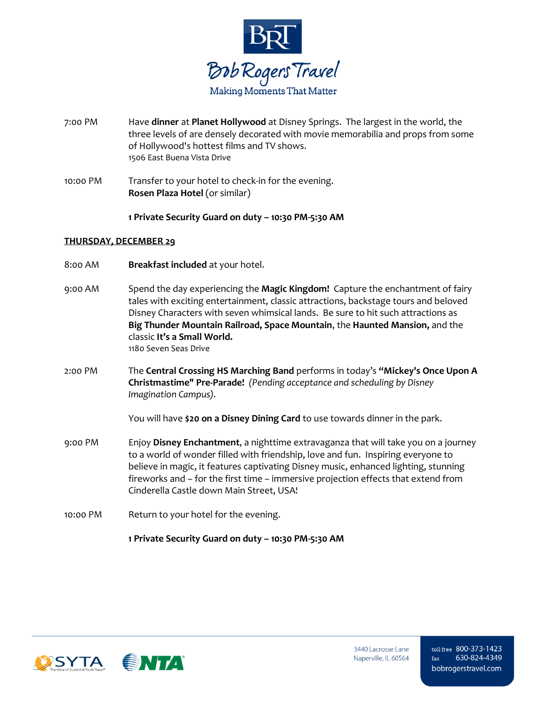

- 7:00 PM Have **dinner** at **Planet Hollywood** at Disney Springs. The largest in the world, the three levels of are densely decorated with movie memorabilia and props from some of Hollywood's hottest films and TV shows. 1506 East Buena Vista Drive
- 10:00 PM Transfer to your hotel to check-in for the evening. **Rosen Plaza Hotel** (or similar)

**1 Private Security Guard on duty – 10:30 PM-5:30 AM**

#### **THURSDAY, DECEMBER 29**

- 8:00 AM **Breakfast included** at your hotel.
- 9:00 AM Spend the day experiencing the **Magic Kingdom!** Capture the enchantment of fairy tales with exciting entertainment, classic attractions, backstage tours and beloved Disney Characters with seven whimsical lands. Be sure to hit such attractions as **Big Thunder Mountain Railroad, Space Mountain**, the **Haunted Mansion,** and the classic **It's a Small World.** 1180 Seven Seas Drive
- 2:00 PM The **Central Crossing HS Marching Band** performs in today's **"Mickey's Once Upon A Christmastime" Pre-Parade!** *(Pending acceptance and scheduling by Disney Imagination Campus).*

You will have **\$20 on a Disney Dining Card** to use towards dinner in the park.

- 9:00 PM Enjoy **Disney Enchantment**, a nighttime extravaganza that will take you on a journey to a world of wonder filled with friendship, love and fun. Inspiring everyone to believe in magic, it features captivating Disney music, enhanced lighting, stunning fireworks and – for the first time – immersive projection effects that extend from Cinderella Castle down Main Street, USA!
- 10:00 PM Return to your hotel for the evening.

**1 Private Security Guard on duty – 10:30 PM-5:30 AM**